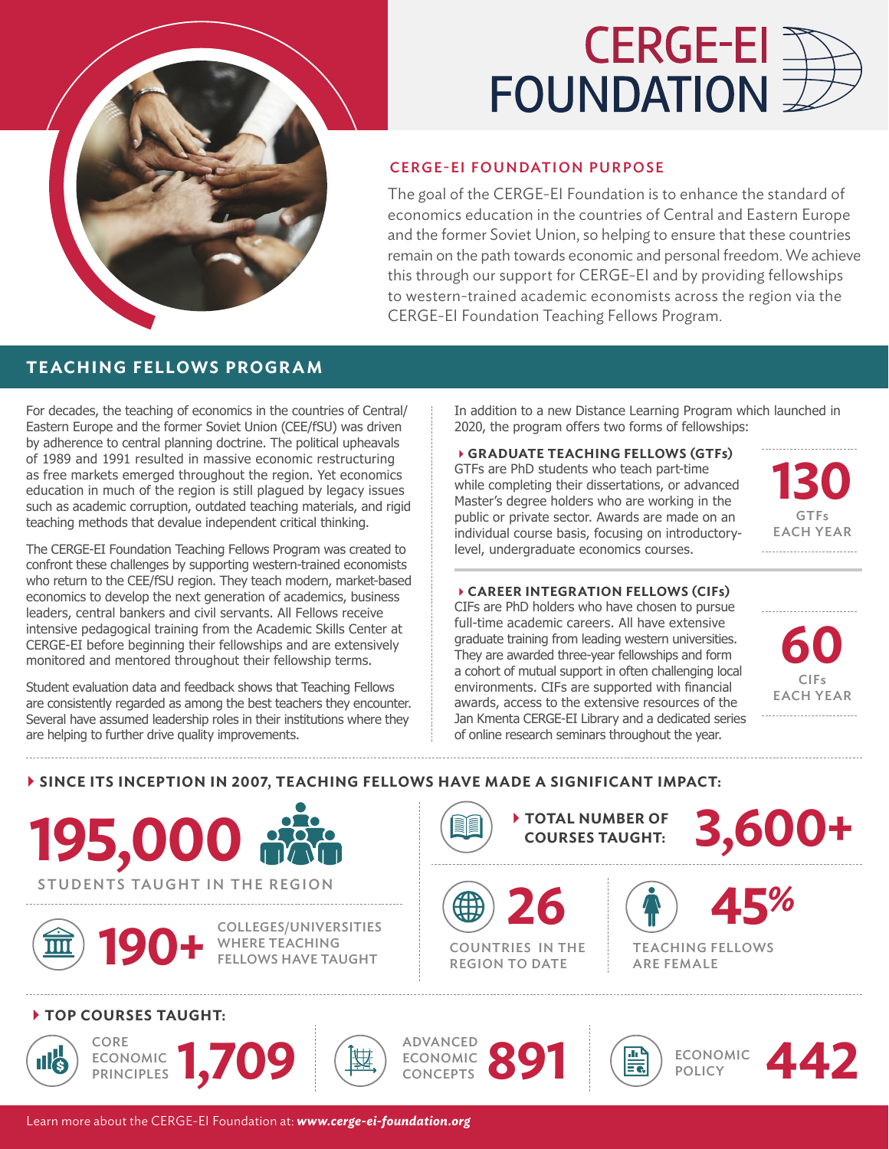

# **CERGE-EI FOUNDATION**

### CERGE-EI FOUNDATION PURPOSE

The goal of the CERGE-EI Foundation is to enhance the standard of economics education in the countries of Central and Eastern Europe and the former Soviet Union, so helping to ensure that these countries remain on the path towards economic and personal freedom. We achieve this through our support for CERGE-EI and by providing fellowships to western-trained academic economists across the region via the CERGE-EI Foundation Teaching Fellows Program.

## **TEACHING FELLOWS PROGRAM**

For decades, the teaching of economics in the countries of Central/ Eastern Europe and the former Soviet Union (CEE/fSU) was driven by adherence to central planning doctrine. The political upheavals of 1989 and 1991 resulted in massive economic restructuring as free markets emerged throughout the region. Yet economics education in much of the region is still plagued by legacy issues such as academic corruption, outdated teaching materials, and rigid teaching methods that devalue independent critical thinking.

The CERGE-EI Foundation Teaching Fellows Program was created to confront these challenges by supporting western-trained economists who return to the CEE/fSU region. They teach modern, market-based economics to develop the next generation of academics, business leaders, central bankers and civil servants. All Fellows receive intensive pedagogical training from the Academic Skills Center at CERGE-EI before beginning their fellowships and are extensively monitored and mentored throughout their fellowship terms.

Student evaluation data and feedback shows that Teaching Fellows are consistently regarded as among the best teachers they encounter. Several have assumed leadership roles in their institutions where they are helping to further drive quality improvements.

In addition to a new Distance Learning Program which launched in 2020, the program offers two forms of fellowships:

4**GRADUATE TEACHING FELLOWS (GTFs)** GTFs are PhD students who teach part-time while completing their dissertations, or advanced Master's degree holders who are working in the public or private sector. Awards are made on an individual course basis, focusing on introductorylevel, undergraduate economics courses.



#### 4**CAREER INTEGRATION FELLOWS (CIFs)**

CIFs are PhD holders who have chosen to pursue full-time academic careers. All have extensive graduate training from leading western universities. They are awarded three-year fellowships and form a cohort of mutual support in often challenging local environments. CIFs are supported with financial awards, access to the extensive resources of the Jan Kmenta CERGE-EI Library and a dedicated series of online research seminars throughout the year.



#### 4**SINCE ITS INCEPTION IN 2007, TEACHING FELLOWS HAVE MADE A SIGNIFICANT IMPACT:**